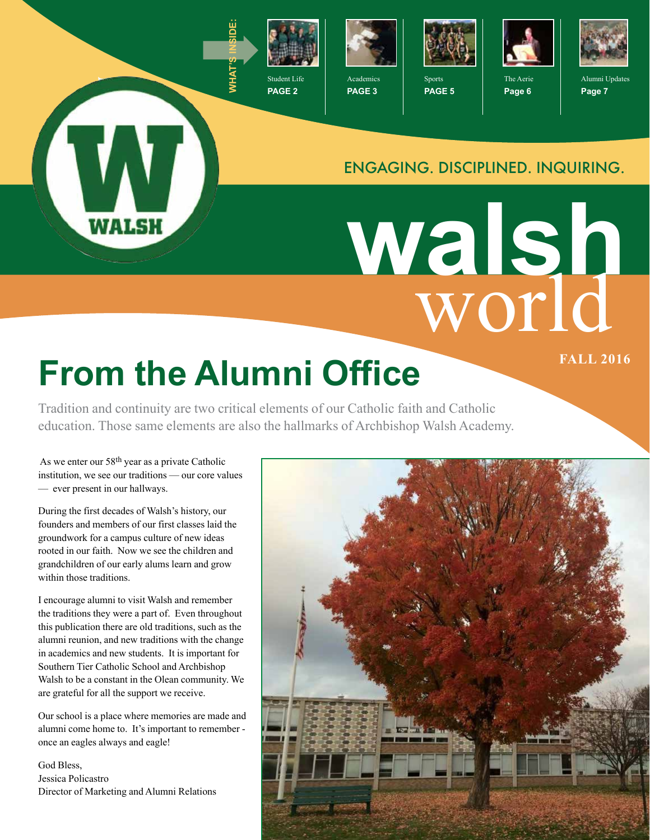

**PAGE 2**



**PAGE 3**



Sports **PAGE 5**



The Aerie **Page 6**



Alumni Updates **Page 7**

#### ENGAGING. DISCIPLINED. INQUIRING.

world **walsh**

# **From the Alumni Office**

Tradition and continuity are two critical elements of our Catholic faith and Catholic education. Those same elements are also the hallmarks of Archbishop Walsh Academy.

 As we enter our 58th year as a private Catholic institution, we see our traditions — our core values — ever present in our hallways.

WALSH

During the first decades of Walsh's history, our founders and members of our first classes laid the groundwork for a campus culture of new ideas rooted in our faith. Now we see the children and grandchildren of our early alums learn and grow within those traditions.

I encourage alumni to visit Walsh and remember the traditions they were a part of. Even throughout this publication there are old traditions, such as the alumni reunion, and new traditions with the change in academics and new students. It is important for Southern Tier Catholic School and Archbishop Walsh to be a constant in the Olean community. We are grateful for all the support we receive.

Our school is a place where memories are made and alumni come home to. It's important to remember once an eagles always and eagle!

God Bless, Jessica Policastro Director of Marketing and Alumni Relations

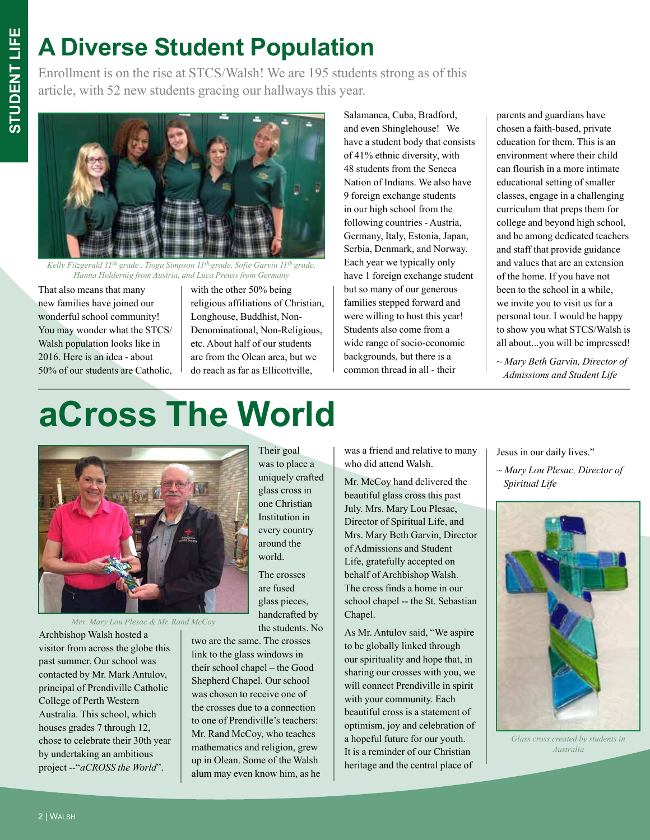# **A Diverse Student Population**

Enrollment is on the rise at STCS/Walsh! We are 195 students strong as of this article, with 52 new students gracing our hallways this year.



*Kelly Fitzgerald 11th grade , Tioga Simpson 11th grade, Sofie Garvin 11th grade, Hanna Holdernig from Austria, and Luca Preuss from Germany*

That also means that many new families have joined our wonderful school community! You may wonder what the STCS/ Walsh population looks like in 2016. Here is an idea - about 50% of our students are Catholic, with the other 50% being religious affiliations of Christian, Longhouse, Buddhist, Non-Denominational, Non-Religious, etc. About half of our students are from the Olean area, but we do reach as far as Ellicottville,

Salamanca, Cuba, Bradford, and even Shinglehouse! We have a student body that consists of 41% ethnic diversity, with 48 students from the Seneca Nation of Indians. We also have 9 foreign exchange students in our high school from the following countries - Austria, Germany, Italy, Estonia, Japan, Serbia, Denmark, and Norway. Each year we typically only have 1 foreign exchange student but so many of our generous families stepped forward and were willing to host this year! Students also come from a wide range of socio-economic backgrounds, but there is a common thread in all - their

parents and guardians have chosen a faith-based, private education for them. This is an environment where their child can flourish in a more intimate educational setting of smaller classes, engage in a challenging curriculum that preps them for college and beyond high school, and be among dedicated teachers and staff that provide guidance and values that are an extension of the home. If you have not been to the school in a while, we invite you to visit us for a personal tour. I would be happy to show you what STCS/Walsh is all about...you will be impressed!

~ *Mary Beth Garvin, Director of Admissions and Student Life*

# **aCross The World**



*Mrs. Mary Lou Plesac & Mr. Rand McCoy*

Archbishop Walsh hosted a visitor from across the globe this past summer. Our school was contacted by Mr. Mark Antulov, principal of Prendiville Catholic College of Perth Western Australia. This school, which houses grades 7 through 12, chose to celebrate their 30th year by undertaking an ambitious project --"*aCROSS the World*".

Their goal was to place a uniquely crafted glass cross in one Christian Institution in every country around the world.

The crosses are fused glass pieces, handcrafted by the students. No

two are the same. The crosses link to the glass windows in their school chapel – the Good Shepherd Chapel. Our school was chosen to receive one of the crosses due to a connection to one of Prendiville's teachers: Mr. Rand McCoy, who teaches mathematics and religion, grew up in Olean. Some of the Walsh alum may even know him, as he was a friend and relative to many who did attend Walsh.

Mr. McCoy hand delivered the beautiful glass cross this past July. Mrs. Mary Lou Plesac, Director of Spiritual Life, and Mrs. Mary Beth Garvin, Director of Admissions and Student Life, gratefully accepted on behalf of Archbishop Walsh. The cross finds a home in our school chapel -- the St. Sebastian Chapel.

As Mr. Antulov said, "We aspire to be globally linked through our spirituality and hope that, in sharing our crosses with you, we will connect Prendiville in spirit with your community. Each beautiful cross is a statement of optimism, joy and celebration of a hopeful future for our youth. It is a reminder of our Christian heritage and the central place of

Jesus in our daily lives."

~ *Mary Lou Plesac, Director of Spiritual Life*



*Glass cross created by students in Australia*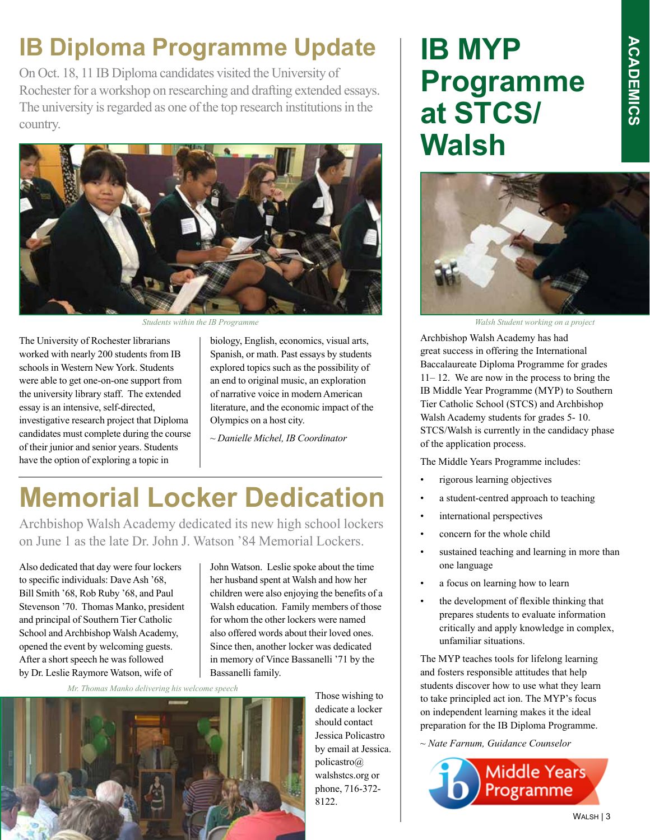#### **IB Diploma Programme Update**

On Oct. 18, 11 IB Diploma candidates visited the University of Rochester for a workshop on researching and drafting extended essays. The university is regarded as one of the top research institutions in the country.



The University of Rochester librarians worked with nearly 200 students from IB schools in Western New York. Students were able to get one-on-one support from the university library staff. The extended essay is an intensive, self-directed, investigative research project that Diploma candidates must complete during the course of their junior and senior years. Students have the option of exploring a topic in

biology, English, economics, visual arts, Spanish, or math. Past essays by students explored topics such as the possibility of an end to original music, an exploration of narrative voice in modern American literature, and the economic impact of the Olympics on a host city.

*~ Danielle Michel, IB Coordinator*

### **Memorial Locker Dedication**

Archbishop Walsh Academy dedicated its new high school lockers on June 1 as the late Dr. John J. Watson '84 Memorial Lockers.

Also dedicated that day were four lockers to specific individuals: Dave Ash '68, Bill Smith '68, Rob Ruby '68, and Paul Stevenson '70. Thomas Manko, president and principal of Southern Tier Catholic School and Archbishop Walsh Academy, opened the event by welcoming guests. After a short speech he was followed by Dr. Leslie Raymore Watson, wife of

John Watson. Leslie spoke about the time her husband spent at Walsh and how her children were also enjoying the benefits of a Walsh education. Family members of those for whom the other lockers were named also offered words about their loved ones. Since then, another locker was dedicated in memory of Vince Bassanelli '71 by the Bassanelli family.

*Mr. Thomas Manko delivering his welcome speech*



Those wishing to dedicate a locker should contact Jessica Policastro by email at Jessica. policastro@ walshstcs.org or phone, 716-372- 8122.

### **IB MYP Programme at STCS/ Walsh**



*Students within the IB Programme Walsh Student working on a project*

Archbishop Walsh Academy has had great success in offering the International Baccalaureate Diploma Programme for grades 11– 12. We are now in the process to bring the IB Middle Year Programme (MYP) to Southern Tier Catholic School (STCS) and Archbishop Walsh Academy students for grades 5- 10. STCS/Walsh is currently in the candidacy phase of the application process.

The Middle Years Programme includes:

- rigorous learning objectives
- a student-centred approach to teaching
- international perspectives
- concern for the whole child
- sustained teaching and learning in more than one language
- a focus on learning how to learn
- the development of flexible thinking that prepares students to evaluate information critically and apply knowledge in complex, unfamiliar situations.

The MYP teaches tools for lifelong learning and fosters responsible attitudes that help students discover how to use what they learn to take principled act ion. The MYP's focus on independent learning makes it the ideal preparation for the IB Diploma Programme.

*~ Nate Farnum, Guidance Counselor*

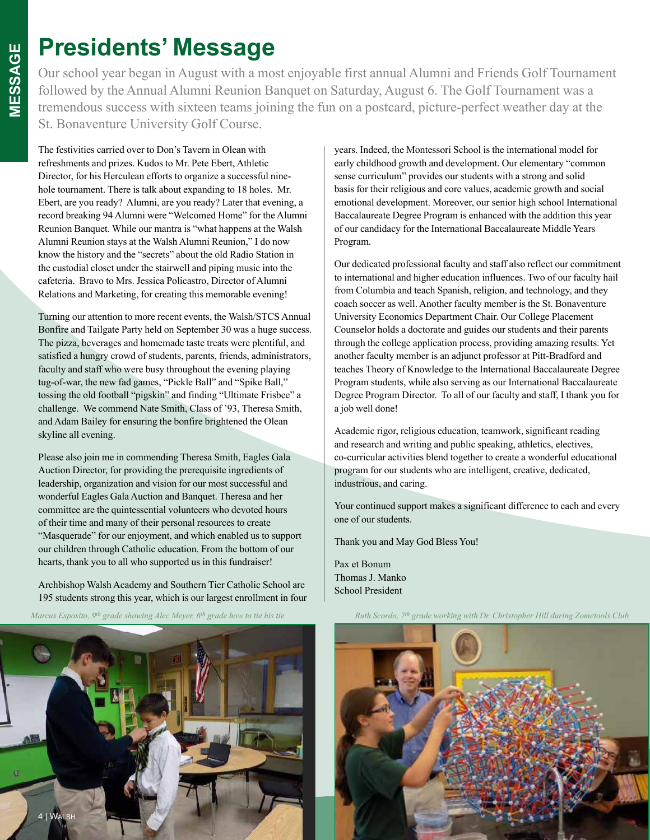#### **Presidents' Message**

Our school year began in August with a most enjoyable first annual Alumni and Friends Golf Tournament followed by the Annual Alumni Reunion Banquet on Saturday, August 6. The Golf Tournament was a tremendous success with sixteen teams joining the fun on a postcard, picture-perfect weather day at the St. Bonaventure University Golf Course.

The festivities carried over to Don's Tavern in Olean with refreshments and prizes. Kudos to Mr. Pete Ebert, Athletic Director, for his Herculean efforts to organize a successful ninehole tournament. There is talk about expanding to 18 holes. Mr. Ebert, are you ready? Alumni, are you ready? Later that evening, a record breaking 94 Alumni were "Welcomed Home" for the Alumni Reunion Banquet. While our mantra is "what happens at the Walsh Alumni Reunion stays at the Walsh Alumni Reunion," I do now know the history and the "secrets" about the old Radio Station in the custodial closet under the stairwell and piping music into the cafeteria. Bravo to Mrs. Jessica Policastro, Director of Alumni Relations and Marketing, for creating this memorable evening!

Turning our attention to more recent events, the Walsh/STCS Annual Bonfire and Tailgate Party held on September 30 was a huge success. The pizza, beverages and homemade taste treats were plentiful, and satisfied a hungry crowd of students, parents, friends, administrators, faculty and staff who were busy throughout the evening playing tug-of-war, the new fad games, "Pickle Ball" and "Spike Ball," tossing the old football "pigskin" and finding "Ultimate Frisbee" a challenge. We commend Nate Smith, Class of '93, Theresa Smith, and Adam Bailey for ensuring the bonfire brightened the Olean skyline all evening.

Please also join me in commending Theresa Smith, Eagles Gala Auction Director, for providing the prerequisite ingredients of leadership, organization and vision for our most successful and wonderful Eagles Gala Auction and Banquet. Theresa and her committee are the quintessential volunteers who devoted hours of their time and many of their personal resources to create "Masquerade" for our enjoyment, and which enabled us to support our children through Catholic education. From the bottom of our hearts, thank you to all who supported us in this fundraiser!

Archbishop Walsh Academy and Southern Tier Catholic School are 195 students strong this year, which is our largest enrollment in four

*Marcus Esposito, 9th grade showing Alec Meyer, 6th grade how to tie his tie*

years. Indeed, the Montessori School is the international model for early childhood growth and development. Our elementary "common sense curriculum" provides our students with a strong and solid basis for their religious and core values, academic growth and social emotional development. Moreover, our senior high school International Baccalaureate Degree Program is enhanced with the addition this year of our candidacy for the International Baccalaureate Middle Years Program.

Our dedicated professional faculty and staff also reflect our commitment to international and higher education influences. Two of our faculty hail from Columbia and teach Spanish, religion, and technology, and they coach soccer as well. Another faculty member is the St. Bonaventure University Economics Department Chair. Our College Placement Counselor holds a doctorate and guides our students and their parents through the college application process, providing amazing results. Yet another faculty member is an adjunct professor at Pitt-Bradford and teaches Theory of Knowledge to the International Baccalaureate Degree Program students, while also serving as our International Baccalaureate Degree Program Director. To all of our faculty and staff, I thank you for a job well done!

Academic rigor, religious education, teamwork, significant reading and research and writing and public speaking, athletics, electives, co-curricular activities blend together to create a wonderful educational program for our students who are intelligent, creative, dedicated, industrious, and caring.

Your continued support makes a significant difference to each and every one of our students.

Thank you and May God Bless You!

Pax et Bonum Thomas J. Manko School President



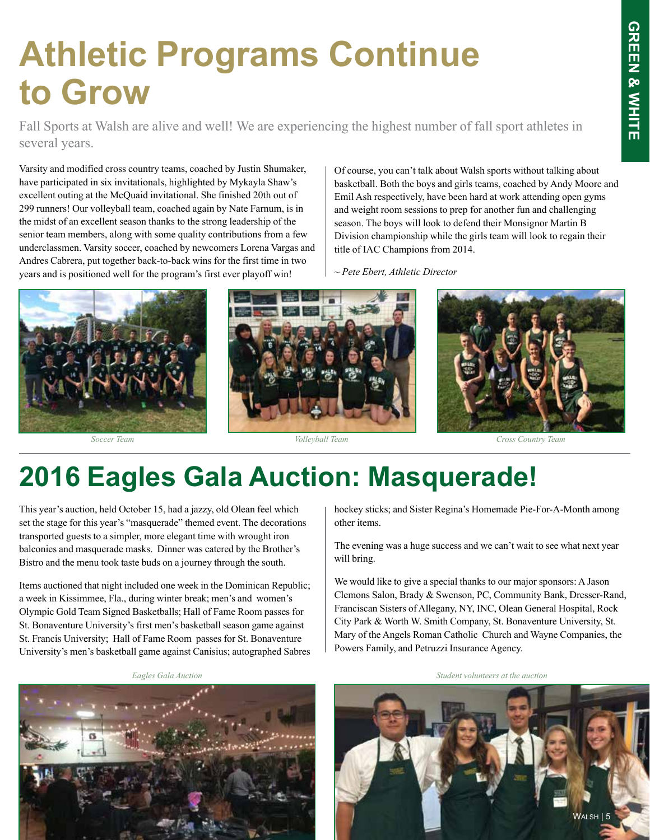## **Athletic Programs Continue to Grow**

Fall Sports at Walsh are alive and well! We are experiencing the highest number of fall sport athletes in several years.

Varsity and modified cross country teams, coached by Justin Shumaker, have participated in six invitationals, highlighted by Mykayla Shaw's excellent outing at the McQuaid invitational. She finished 20th out of 299 runners! Our volleyball team, coached again by Nate Farnum, is in the midst of an excellent season thanks to the strong leadership of the senior team members, along with some quality contributions from a few underclassmen. Varsity soccer, coached by newcomers Lorena Vargas and Andres Cabrera, put together back-to-back wins for the first time in two years and is positioned well for the program's first ever playoff win!

Of course, you can't talk about Walsh sports without talking about basketball. Both the boys and girls teams, coached by Andy Moore and Emil Ash respectively, have been hard at work attending open gyms and weight room sessions to prep for another fun and challenging season. The boys will look to defend their Monsignor Martin B Division championship while the girls team will look to regain their title of IAC Champions from 2014.

~ *Pete Ebert, Athletic Director*



### **2016 Eagles Gala Auction: Masquerade!**

This year's auction, held October 15, had a jazzy, old Olean feel which set the stage for this year's "masquerade" themed event. The decorations transported guests to a simpler, more elegant time with wrought iron balconies and masquerade masks. Dinner was catered by the Brother's Bistro and the menu took taste buds on a journey through the south.

Items auctioned that night included one week in the Dominican Republic; a week in Kissimmee, Fla., during winter break; men's and women's Olympic Gold Team Signed Basketballs; Hall of Fame Room passes for St. Bonaventure University's first men's basketball season game against St. Francis University; Hall of Fame Room passes for St. Bonaventure University's men's basketball game against Canisius; autographed Sabres



hockey sticks; and Sister Regina's Homemade Pie-For-A-Month among other items.

The evening was a huge success and we can't wait to see what next year will bring.

We would like to give a special thanks to our major sponsors: A Jason Clemons Salon, Brady & Swenson, PC, Community Bank, Dresser-Rand, Franciscan Sisters of Allegany, NY, INC, Olean General Hospital, Rock City Park & Worth W. Smith Company, St. Bonaventure University, St. Mary of the Angels Roman Catholic Church and Wayne Companies, the Powers Family, and Petruzzi Insurance Agency.

*Eagles Gala Auction Student volunteers at the auction*

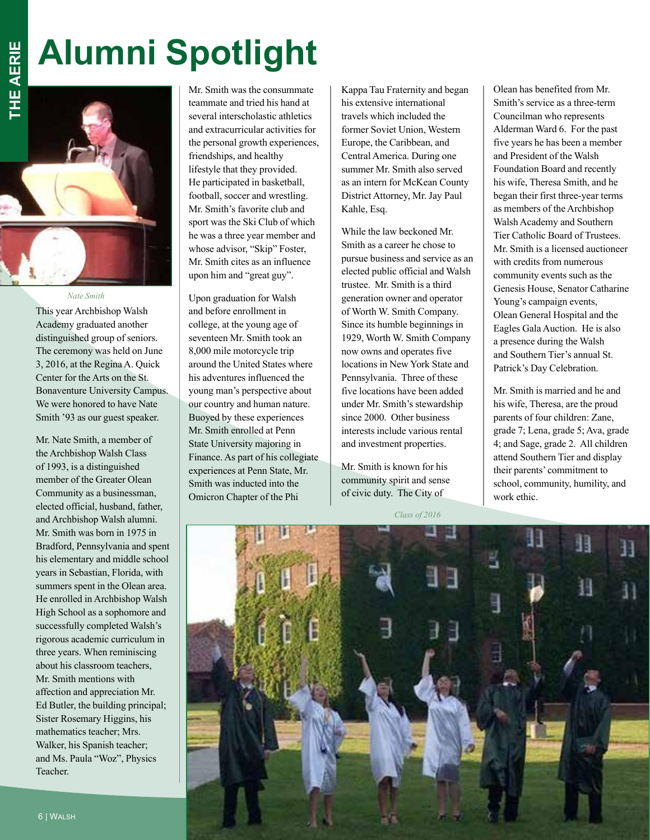# **Alumni Spotlight**



This year Archbishop Walsh Academy graduated another distinguished group of seniors. The ceremony was held on June 3, 2016, at the Regina A. Quick Center for the Arts on the St. Bonaventure University Campus. We were honored to have Nate Smith '93 as our guest speaker.

Mr. Nate Smith, a member of the Archbishop Walsh Class of 1993, is a distinguished member of the Greater Olean Community as a businessman, elected official, husband, father, and Archbishop Walsh alumni. Mr. Smith was born in 1975 in Bradford, Pennsylvania and spent his elementary and middle school years in Sebastian, Florida, with summers spent in the Olean area. He enrolled in Archbishop Walsh High School as a sophomore and successfully completed Walsh's rigorous academic curriculum in three years. When reminiscing about his classroom teachers, Mr. Smith mentions with affection and appreciation Mr. Ed Butler, the building principal; Sister Rosemary Higgins, his mathematics teacher; Mrs. Walker, his Spanish teacher; and Ms. Paula "Woz", Physics Teacher.

Mr. Smith was the consummate teammate and tried his hand at several interscholastic athletics and extracurricular activities for the personal growth experiences, friendships, and healthy lifestyle that they provided. He participated in basketball, football, soccer and wrestling. Mr. Smith's favorite club and sport was the Ski Club of which he was a three year member and whose advisor, "Skip" Foster, Mr. Smith cites as an influence upon him and "great guy".

Upon graduation for Walsh and before enrollment in college, at the young age of seventeen Mr. Smith took an 8,000 mile motorcycle trip around the United States where his adventures influenced the young man's perspective about our country and human nature. Buoyed by these experiences Mr. Smith enrolled at Penn State University majoring in Finance. As part of his collegiate experiences at Penn State, Mr. Smith was inducted into the Omicron Chapter of the Phi

Kappa Tau Fraternity and began his extensive international travels which included the former Soviet Union, Western Europe, the Caribbean, and Central America. During one summer Mr. Smith also served as an intern for McKean County District Attorney, Mr. Jay Paul Kahle, Esq.

While the law beckoned Mr. Smith as a career he chose to pursue business and service as an elected public official and Walsh trustee. Mr. Smith is a third generation owner and operator of Worth W. Smith Company. Since its humble beginnings in 1929, Worth W. Smith Company now owns and operates five locations in New York State and Pennsylvania. Three of these five locations have been added under Mr. Smith's stewardship since 2000. Other business interests include various rental and investment properties.

Mr. Smith is known for his community spirit and sense of civic duty. The City of

*Class of 2016*

Olean has benefited from Mr. Smith's service as a three-term Councilman who represents Alderman Ward 6. For the past five years he has been a member and President of the Walsh Foundation Board and recently his wife, Theresa Smith, and he began their first three-year terms as members of the Archbishop Walsh Academy and Southern Tier Catholic Board of Trustees. Mr. Smith is a licensed auctioneer with credits from numerous community events such as the Genesis House, Senator Catharine Young's campaign events, Olean General Hospital and the Eagles Gala Auction. He is also a presence during the Walsh and Southern Tier's annual St. Patrick's Day Celebration.

Mr. Smith is married and he and his wife, Theresa, are the proud parents of four children: Zane, grade 7; Lena, grade 5; Ava, grade 4; and Sage, grade 2. All children attend Southern Tier and display their parents' commitment to school, community, humility, and work ethic.

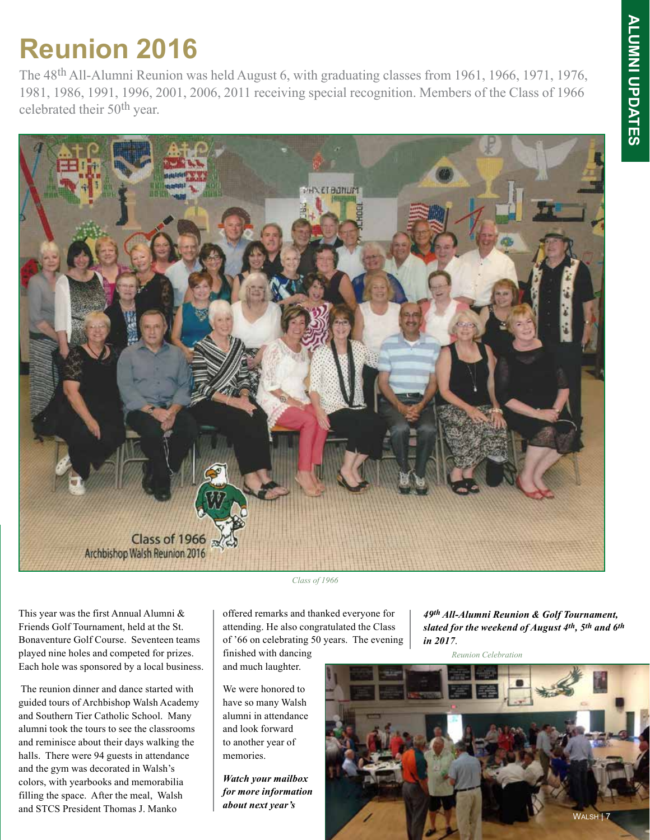### **Reunion 2016**

The 48th All-Alumni Reunion was held August 6, with graduating classes from 1961, 1966, 1971, 1976, 1981, 1986, 1991, 1996, 2001, 2006, 2011 receiving special recognition. Members of the Class of 1966 celebrated their 50th year.



This year was the first Annual Alumni & Friends Golf Tournament, held at the St. Bonaventure Golf Course. Seventeen teams played nine holes and competed for prizes. Each hole was sponsored by a local business.

 The reunion dinner and dance started with guided tours of Archbishop Walsh Academy and Southern Tier Catholic School. Many alumni took the tours to see the classrooms and reminisce about their days walking the halls. There were 94 guests in attendance and the gym was decorated in Walsh's colors, with yearbooks and memorabilia filling the space. After the meal, Walsh and STCS President Thomas J. Manko

*Class of 1966*

offered remarks and thanked everyone for attending. He also congratulated the Class of '66 on celebrating 50 years. The evening finished with dancing

and much laughter.

We were honored to have so many Walsh alumni in attendance and look forward to another year of memories.

*Watch your mailbox for more information about next year's* 

*49th All-Alumni Reunion & Golf Tournament, slated for the weekend of August 4th, 5th and 6th in 2017*.

*Reunion Celebration*